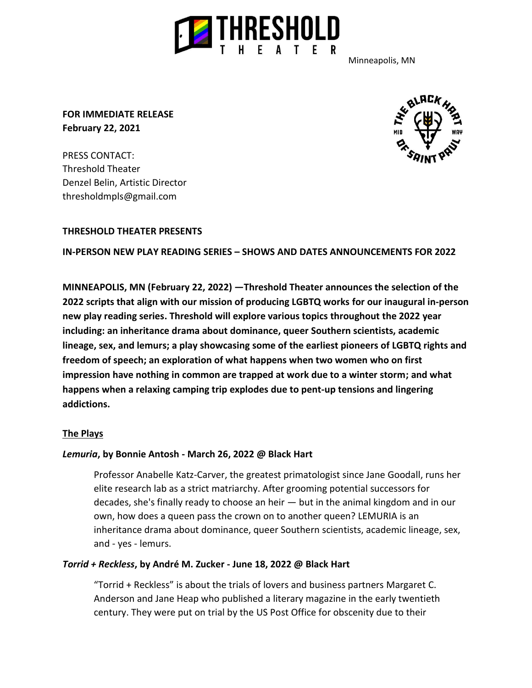

Minneapolis, MN

**FOR IMMEDIATE RELEASE February 22, 2021**

PRESS CONTACT: Threshold Theater Denzel Belin, Artistic Director thresholdmpls@gmail.com



# **THRESHOLD THEATER PRESENTS**

#### **IN-PERSON NEW PLAY READING SERIES – SHOWS AND DATES ANNOUNCEMENTS FOR 2022**

**MINNEAPOLIS, MN (February 22, 2022) —Threshold Theater announces the selection of the 2022 scripts that align with our mission of producing LGBTQ works for our inaugural in-person new play reading series. Threshold will explore various topics throughout the 2022 year including: an inheritance drama about dominance, queer Southern scientists, academic lineage, sex, and lemurs; a play showcasing some of the earliest pioneers of LGBTQ rights and freedom of speech; an exploration of what happens when two women who on first impression have nothing in common are trapped at work due to a winter storm; and what happens when a relaxing camping trip explodes due to pent-up tensions and lingering addictions.**

#### **The Plays**

#### *Lemuria***, by Bonnie Antosh - March 26, 2022 @ Black Hart**

Professor Anabelle Katz-Carver, the greatest primatologist since Jane Goodall, runs her elite research lab as a strict matriarchy. After grooming potential successors for decades, she's finally ready to choose an heir — but in the animal kingdom and in our own, how does a queen pass the crown on to another queen? LEMURIA is an inheritance drama about dominance, queer Southern scientists, academic lineage, sex, and - yes - lemurs.

#### *Torrid + Reckless***, by André M. Zucker - June 18, 2022 @ Black Hart**

"Torrid + Reckless" is about the trials of lovers and business partners Margaret C. Anderson and Jane Heap who published a literary magazine in the early twentieth century. They were put on trial by the US Post Office for obscenity due to their